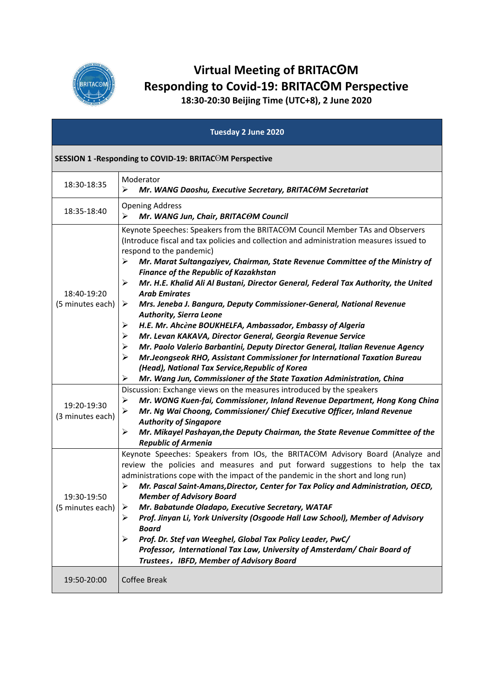

## **Virtual Meeting of BRITACʘM Responding to Covid-19: BRITACʘM Perspective**

**18:30-20:30 Beijing Time (UTC+8), 2 June 2020**

|                                 | Tuesday 2 June 2020                                                                                                                                                                                                                                                                                                                                                                                                                                                                                                                                                                                                                                                                                                                                                                                                                                                                                                                              |
|---------------------------------|--------------------------------------------------------------------------------------------------------------------------------------------------------------------------------------------------------------------------------------------------------------------------------------------------------------------------------------------------------------------------------------------------------------------------------------------------------------------------------------------------------------------------------------------------------------------------------------------------------------------------------------------------------------------------------------------------------------------------------------------------------------------------------------------------------------------------------------------------------------------------------------------------------------------------------------------------|
|                                 | SESSION 1 - Responding to COVID-19: BRITACOM Perspective                                                                                                                                                                                                                                                                                                                                                                                                                                                                                                                                                                                                                                                                                                                                                                                                                                                                                         |
| 18:30-18:35                     | Moderator<br>⋗<br>Mr. WANG Daoshu, Executive Secretary, BRITACOM Secretariat                                                                                                                                                                                                                                                                                                                                                                                                                                                                                                                                                                                                                                                                                                                                                                                                                                                                     |
| 18:35-18:40                     | <b>Opening Address</b><br>➢<br>Mr. WANG Jun, Chair, BRITACOM Council                                                                                                                                                                                                                                                                                                                                                                                                                                                                                                                                                                                                                                                                                                                                                                                                                                                                             |
| 18:40-19:20<br>(5 minutes each) | Keynote Speeches: Speakers from the BRITACOM Council Member TAs and Observers<br>(Introduce fiscal and tax policies and collection and administration measures issued to<br>respond to the pandemic)<br>≻<br>Mr. Marat Sultangaziyev, Chairman, State Revenue Committee of the Ministry of<br><b>Finance of the Republic of Kazakhstan</b><br>Mr. H.E. Khalid Ali Al Bustani, Director General, Federal Tax Authority, the United<br>⋗<br><b>Arab Emirates</b><br>Mrs. Jeneba J. Bangura, Deputy Commissioner-General, National Revenue<br>➤<br><b>Authority, Sierra Leone</b><br>➤<br>H.E. Mr. Ahcène BOUKHELFA, Ambassador, Embassy of Algeria<br>➤<br>Mr. Levan KAKAVA, Director General, Georgia Revenue Service<br>Mr. Paolo Valerio Barbantini, Deputy Director General, Italian Revenue Agency<br>➤<br>➤<br>Mr.Jeongseok RHO, Assistant Commissioner for International Taxation Bureau<br>(Head), National Tax Service, Republic of Korea |
| 19:20-19:30<br>(3 minutes each) | ⋗<br>Mr. Wang Jun, Commissioner of the State Taxation Administration, China<br>Discussion: Exchange views on the measures introduced by the speakers<br>➤<br>Mr. WONG Kuen-fai, Commissioner, Inland Revenue Department, Hong Kong China<br>⋗<br>Mr. Ng Wai Choong, Commissioner/ Chief Executive Officer, Inland Revenue<br><b>Authority of Singapore</b><br>⋗<br>Mr. Mikayel Pashayan, the Deputy Chairman, the State Revenue Committee of the<br><b>Republic of Armenia</b>                                                                                                                                                                                                                                                                                                                                                                                                                                                                   |
| 19:30-19:50<br>(5 minutes each) | Keynote Speeches: Speakers from IOs, the BRITACOM Advisory Board (Analyze and<br>review the policies and measures and put forward suggestions to help the tax<br>administrations cope with the impact of the pandemic in the short and long run)<br>Mr. Pascal Saint-Amans, Director, Center for Tax Policy and Administration, OECD,<br>⋗<br><b>Member of Advisory Board</b><br>Mr. Babatunde Oladapo, Executive Secretary, WATAF<br>⋗<br>Prof. Jinyan Li, York University (Osgoode Hall Law School), Member of Advisory<br>➤<br><b>Board</b><br>Prof. Dr. Stef van Weeghel, Global Tax Policy Leader, PwC/<br>⋗<br>Professor, International Tax Law, University of Amsterdam/ Chair Board of<br>Trustees, IBFD, Member of Advisory Board                                                                                                                                                                                                       |
| 19:50-20:00                     | Coffee Break                                                                                                                                                                                                                                                                                                                                                                                                                                                                                                                                                                                                                                                                                                                                                                                                                                                                                                                                     |